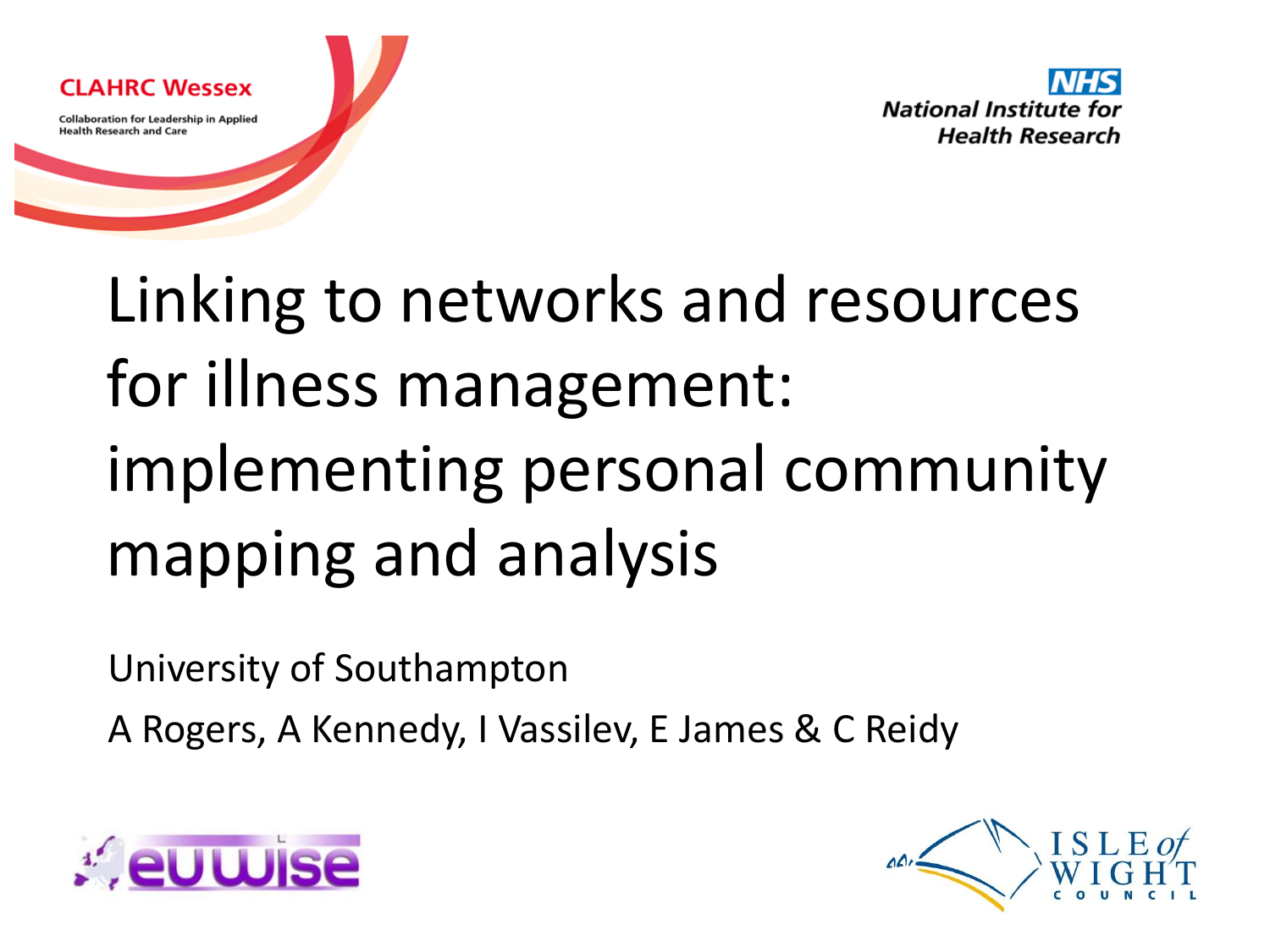

Linking to networks and resources for illness management: implementing personal community mapping and analysis

University of Southampton

A Rogers, A Kennedy, I Vassilev, E James & C Reidy



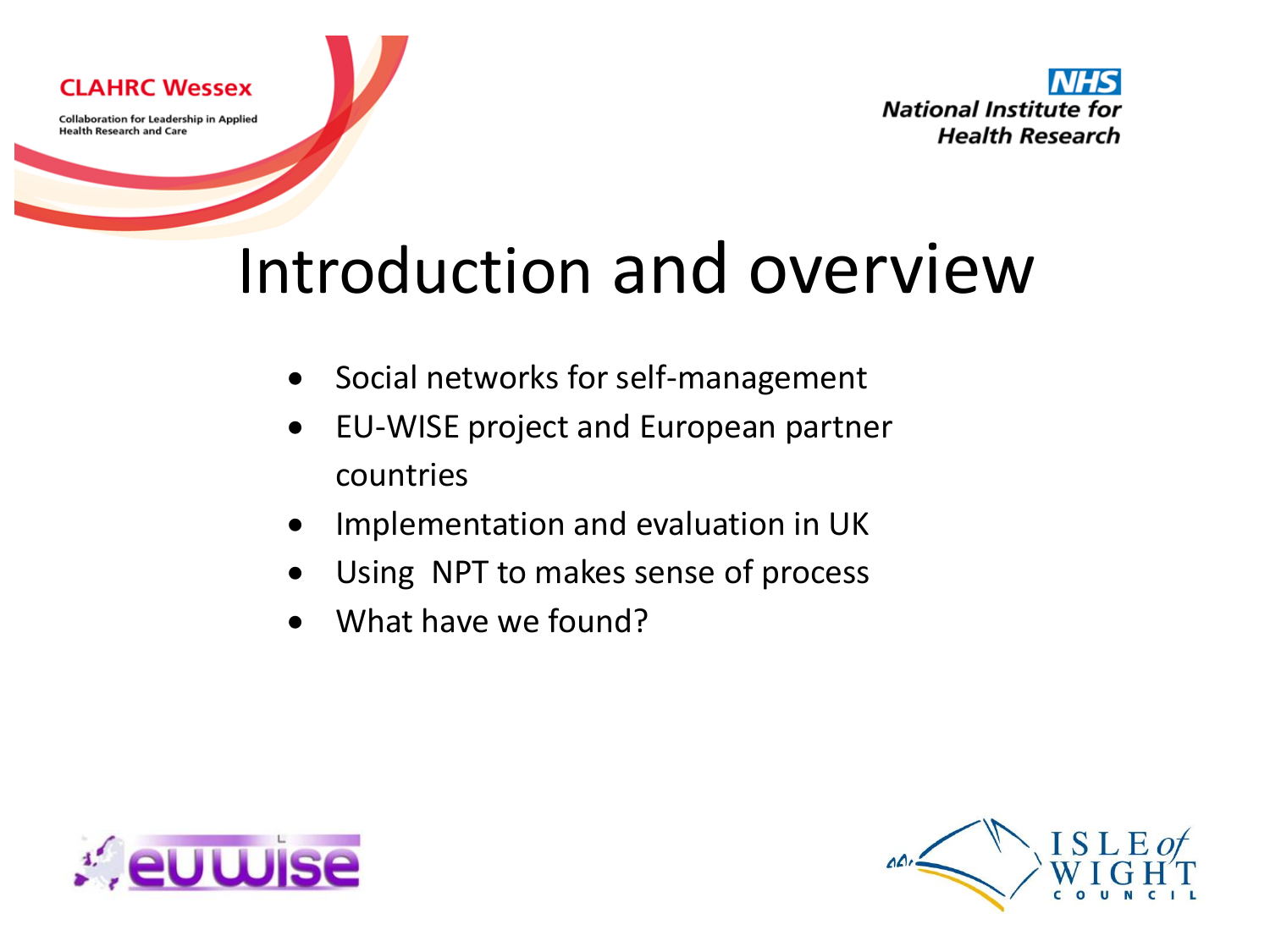



# Introduction and overview

- Social networks for self-management
- EU-WISE project and European partner countries
- Implementation and evaluation in UK
- Using NPT to makes sense of process
- What have we found?



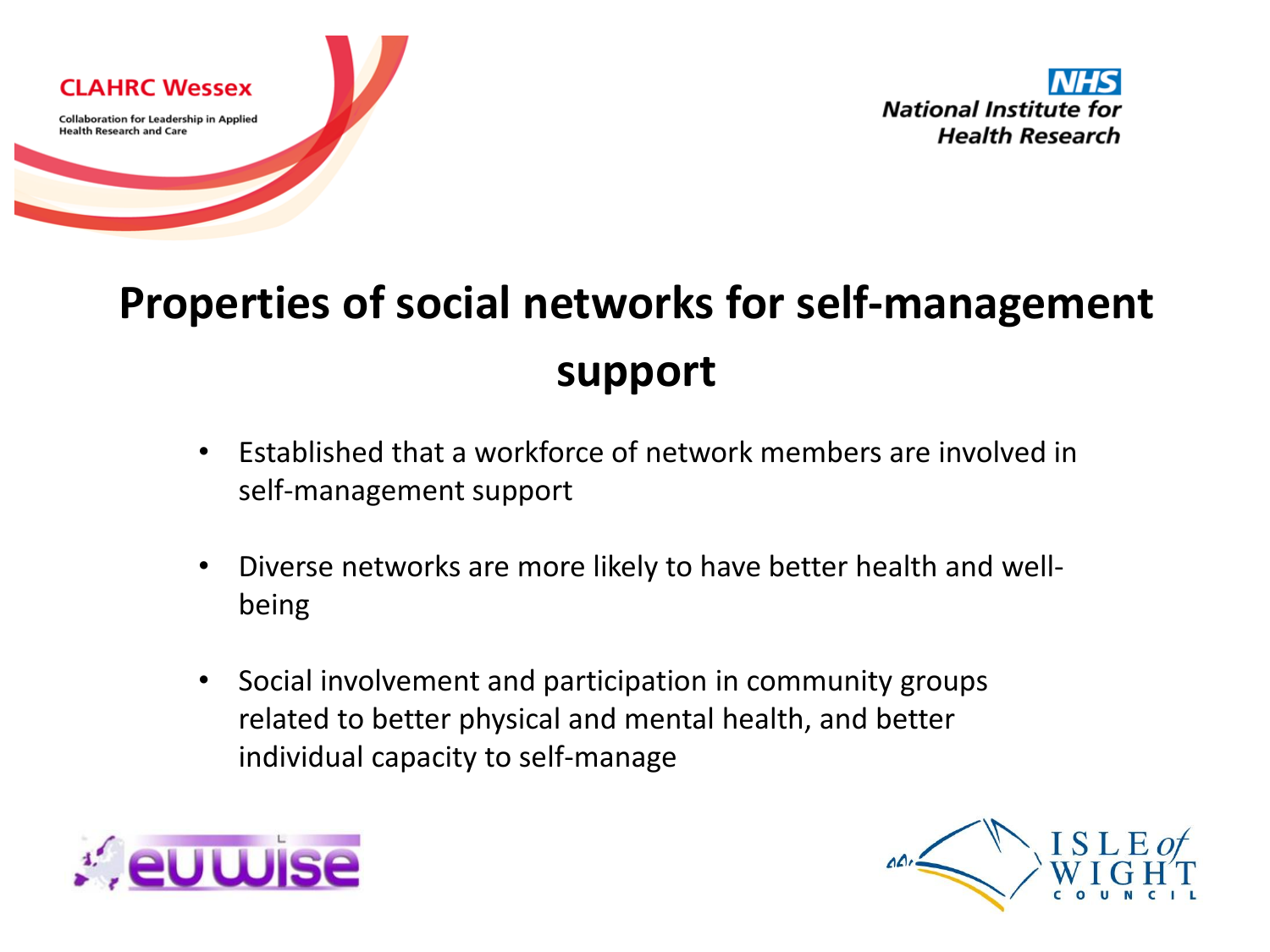

### **Properties of social networks for self-management support**

- Established that a workforce of network members are involved in self-management support
- Diverse networks are more likely to have better health and wellbeing
- Social involvement and participation in community groups related to better physical and mental health, and better individual capacity to self-manage



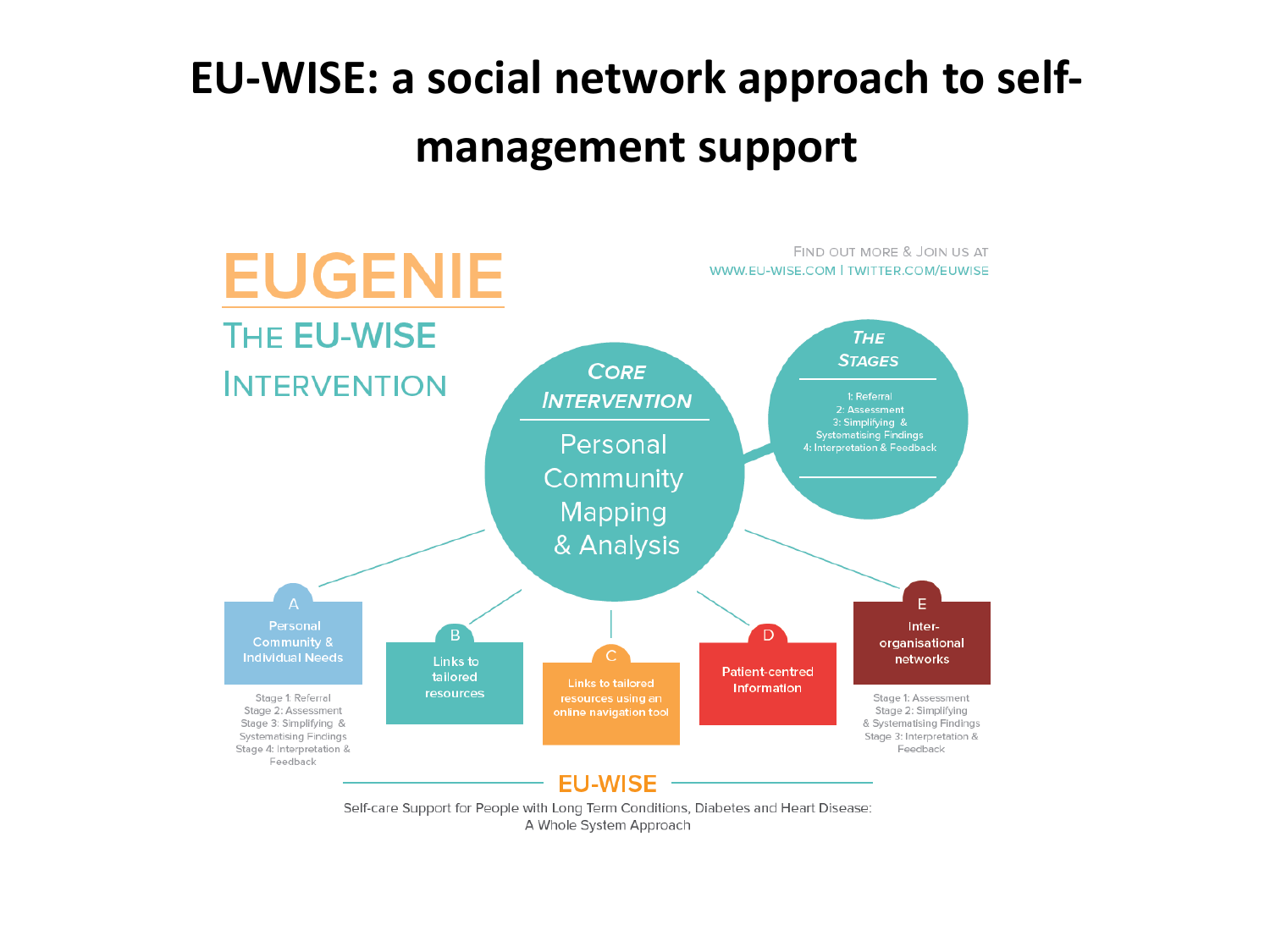### **EU-WISE: a social network approach to selfmanagement support**



A Whole System Approach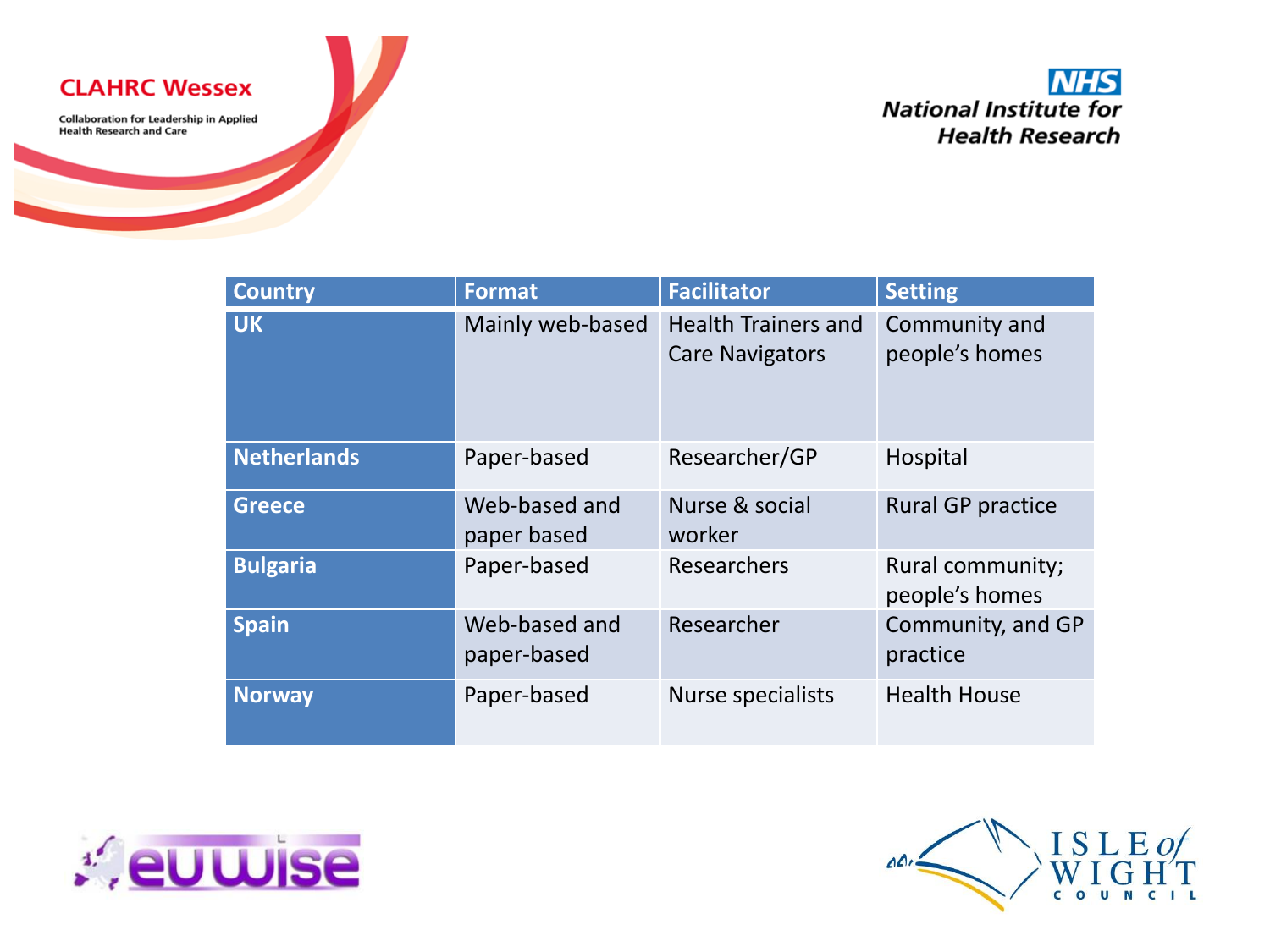**CLAHRC Wessex** 

**Collaboration for Leadership in Applied Health Research and Care** 

#### **NHS National Institute for Health Research**

| <b>Country</b>     | <b>Format</b>                | <b>Facilitator</b>                                   | <b>Setting</b>                     |
|--------------------|------------------------------|------------------------------------------------------|------------------------------------|
| <b>UK</b>          | Mainly web-based             | <b>Health Trainers and</b><br><b>Care Navigators</b> | Community and<br>people's homes    |
| <b>Netherlands</b> | Paper-based                  | Researcher/GP                                        | Hospital                           |
| <b>Greece</b>      | Web-based and<br>paper based | Nurse & social<br>worker                             | <b>Rural GP practice</b>           |
| <b>Bulgaria</b>    | Paper-based                  | Researchers                                          | Rural community;<br>people's homes |
| <b>Spain</b>       | Web-based and<br>paper-based | Researcher                                           | Community, and GP<br>practice      |
| <b>Norway</b>      | Paper-based                  | <b>Nurse specialists</b>                             | <b>Health House</b>                |



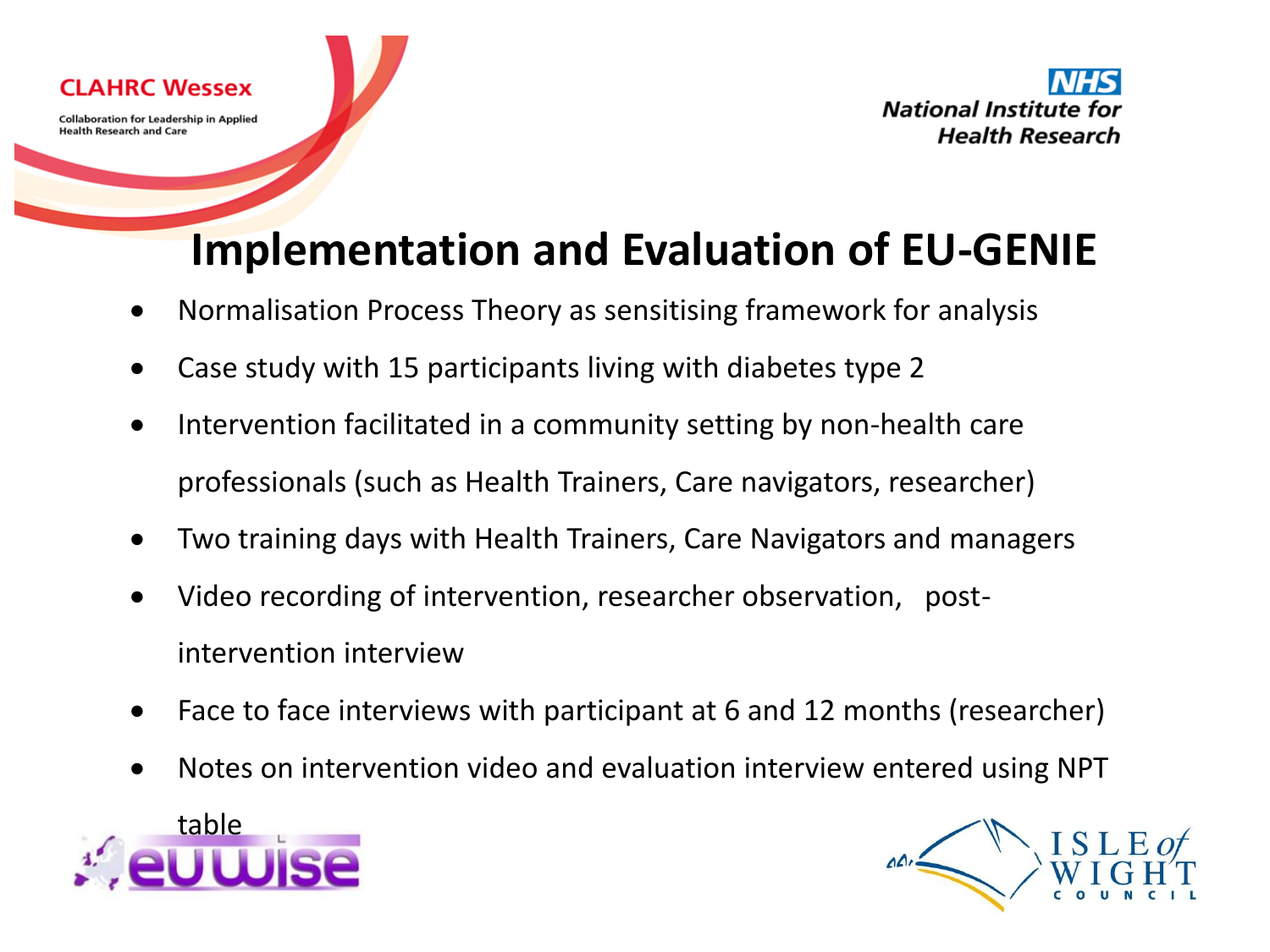

### **Implementation and Evaluation of EU-GENIE**

- Normalisation Process Theory as sensitising framework for analysis
- Case study with 15 participants living with diabetes type 2
- Intervention facilitated in a community setting by non-health care professionals (such as Health Trainers, Care navigators, researcher)
- Two training days with Health Trainers, Care Navigators and managers
- Video recording of intervention, researcher observation, postintervention interview
- Face to face interviews with participant at 6 and 12 months (researcher)
- Notes on intervention video and evaluation interview entered using NPT



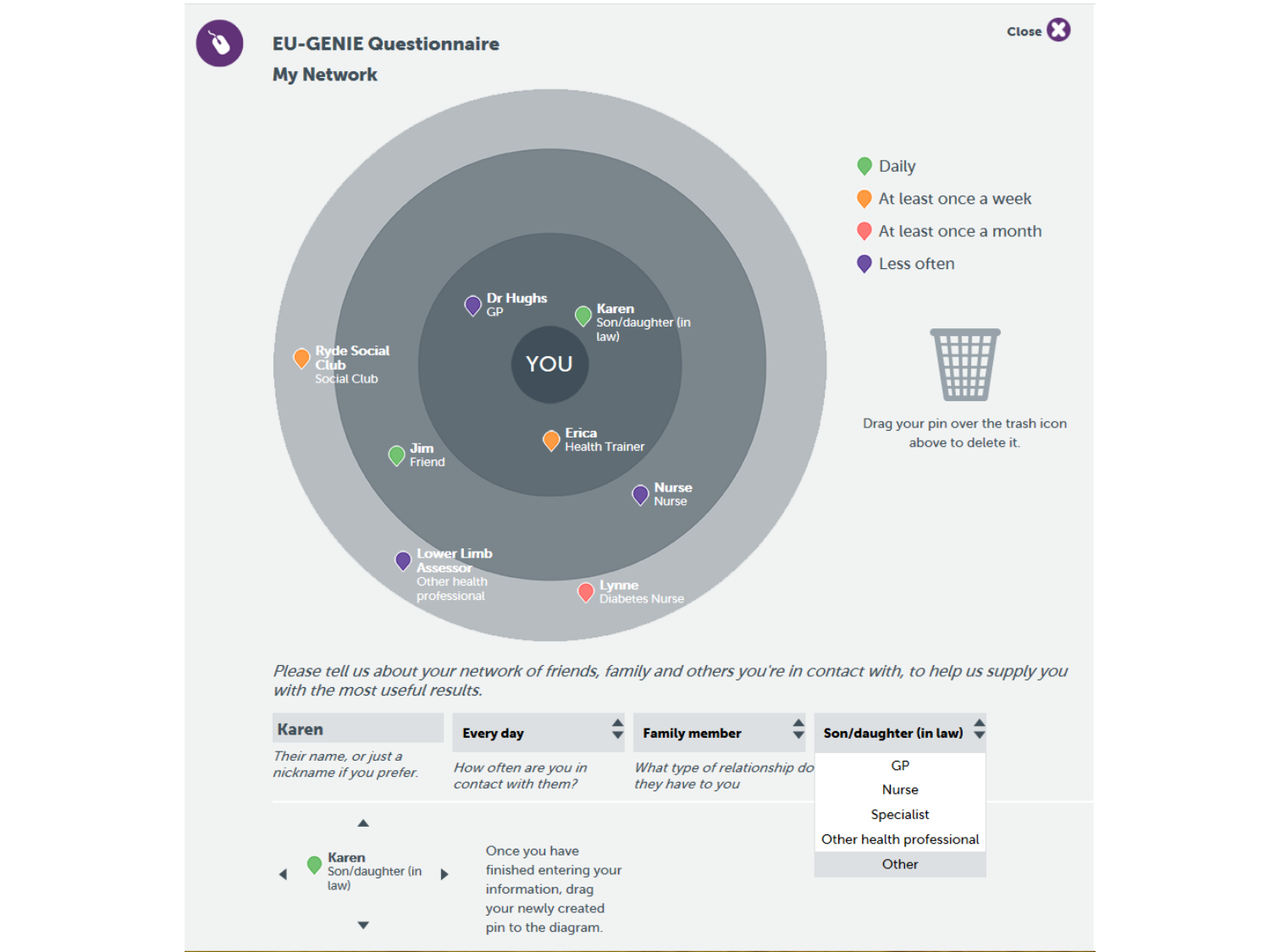

Please tell us about your network of friends, family and others you're in contact with, to help us supply you with the most useful results.

| <b>Karen</b>                                     | <b>Every day</b>                                                                        | <b>Family member</b>                             | Son/daughter (in law) $\overline{\mathbf{v}}$  |
|--------------------------------------------------|-----------------------------------------------------------------------------------------|--------------------------------------------------|------------------------------------------------|
| Their name, or just a<br>nickname if you prefer. | How often are you in<br>contact with them?                                              | What type of relationship do<br>they have to you | GP<br><b>Nurse</b>                             |
| <b>Karen</b><br>Son/daughter (in<br>law)         |                                                                                         |                                                  | <b>Specialist</b><br>Other health professional |
|                                                  | Once you have<br>finished entering your<br>ь<br>information, drag<br>your newly created |                                                  | Other                                          |
|                                                  | pin to the diagram.                                                                     |                                                  |                                                |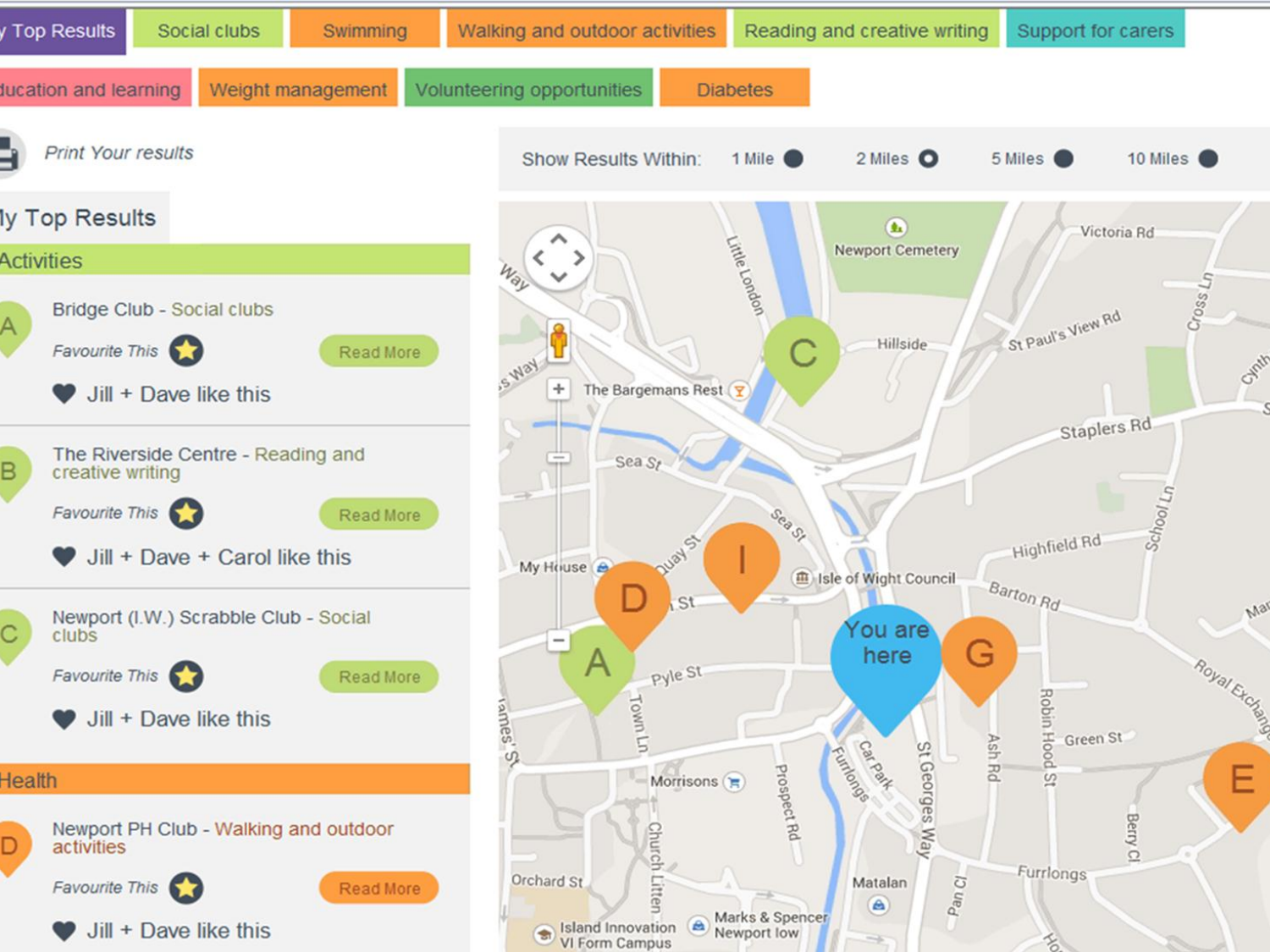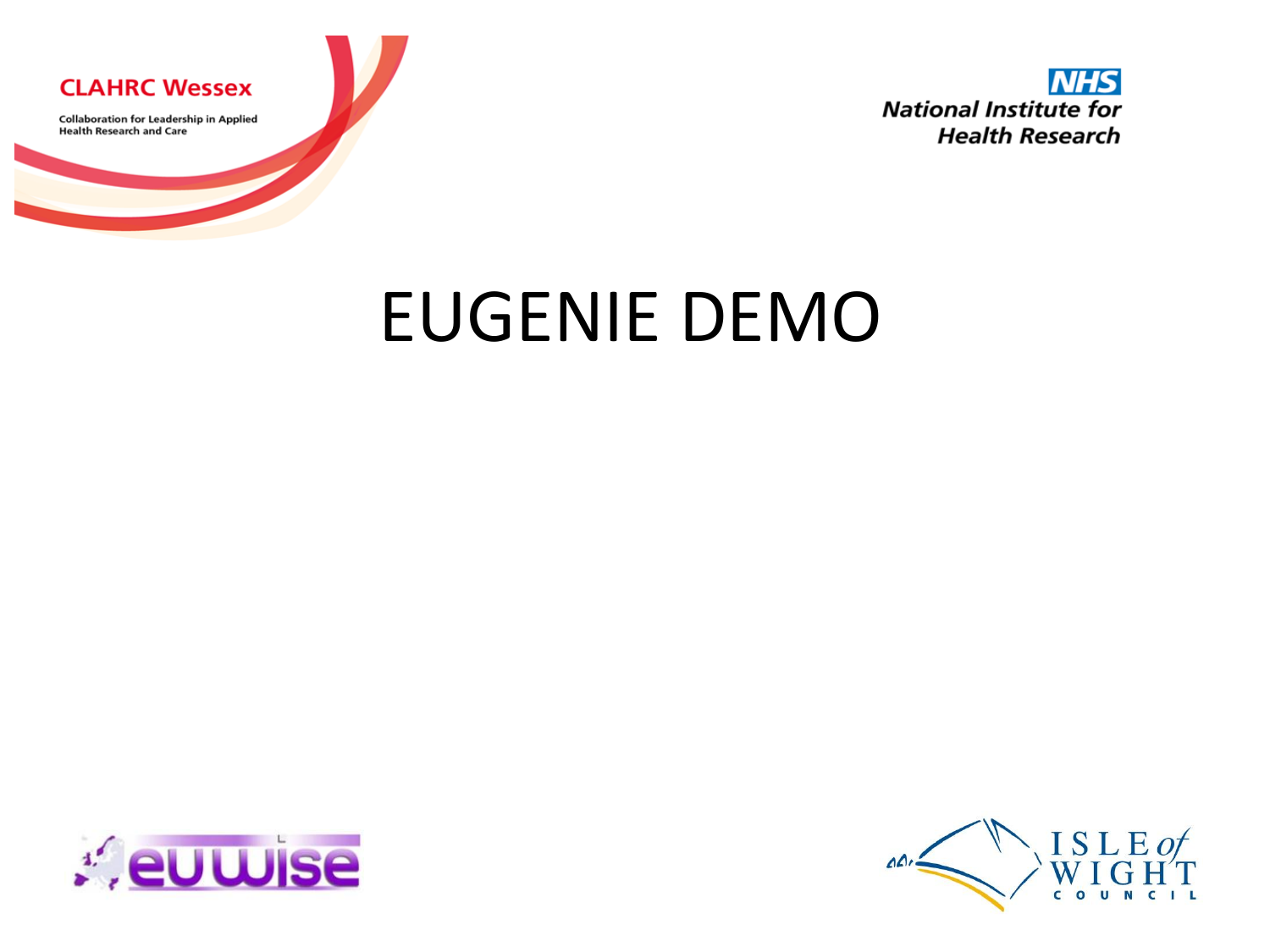

# EUGENIE DEMO



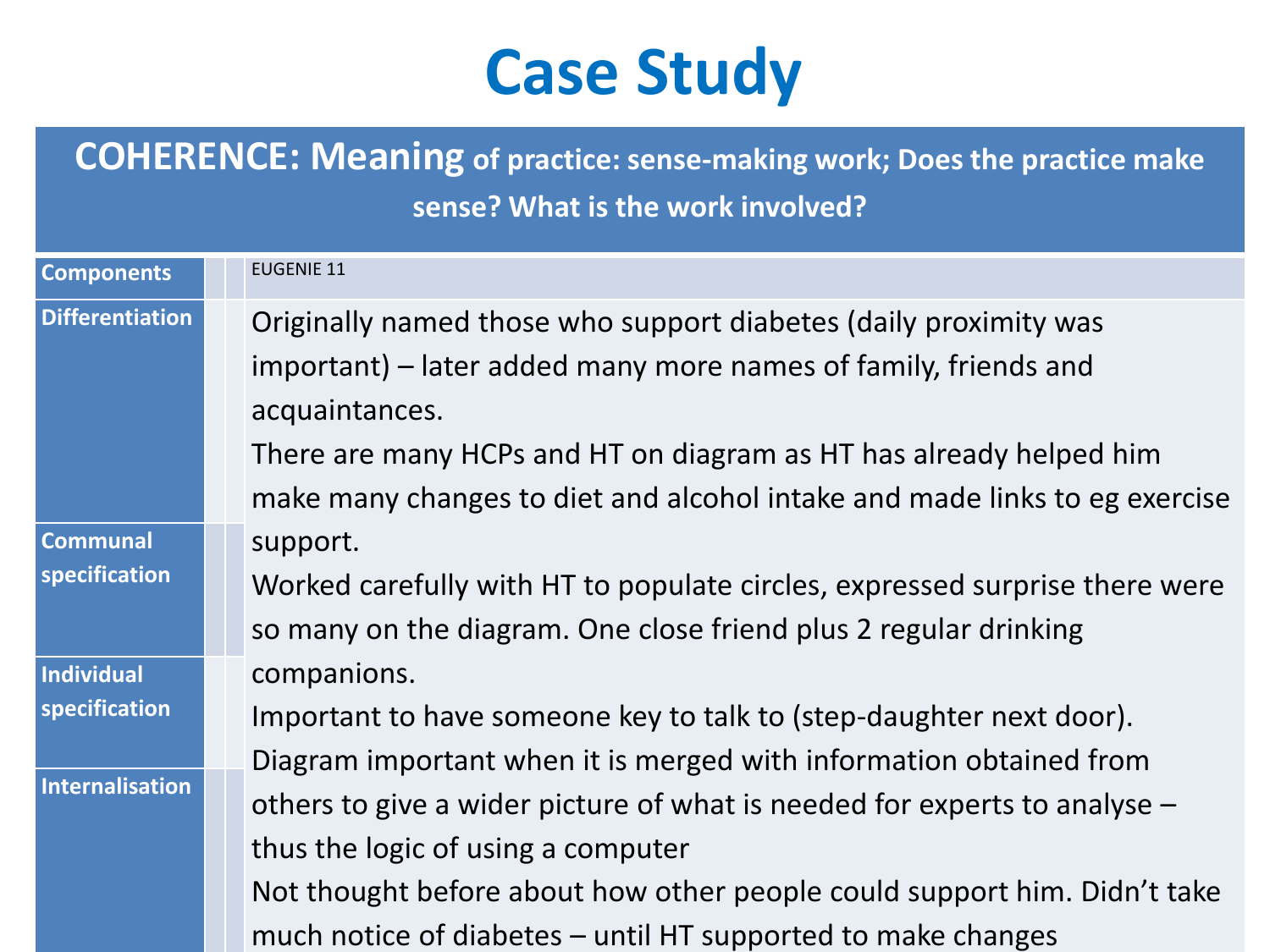# **Case Study**

**COHERENCE: Meaning of practice: sense-making work; Does the practice make sense? What is the work involved?**

| <b>Components</b>      | <b>EUGENIE 11</b>                                                           |
|------------------------|-----------------------------------------------------------------------------|
| <b>Differentiation</b> | Originally named those who support diabetes (daily proximity was            |
|                        | important) – later added many more names of family, friends and             |
|                        | acquaintances.                                                              |
|                        |                                                                             |
|                        | There are many HCPs and HT on diagram as HT has already helped him          |
|                        | make many changes to diet and alcohol intake and made links to eg exercise  |
| <b>Communal</b>        | support.                                                                    |
| specification          | Worked carefully with HT to populate circles, expressed surprise there were |
|                        | so many on the diagram. One close friend plus 2 regular drinking            |
| Individual             | companions.                                                                 |
| specification          | Important to have someone key to talk to (step-daughter next door).         |
| Internalisation        | Diagram important when it is merged with information obtained from          |
|                        | others to give a wider picture of what is needed for experts to analyse $-$ |
|                        | thus the logic of using a computer                                          |
|                        | Not thought before about how other people could support him. Didn't take    |
|                        | much notice of diabetes - until HT supported to make changes                |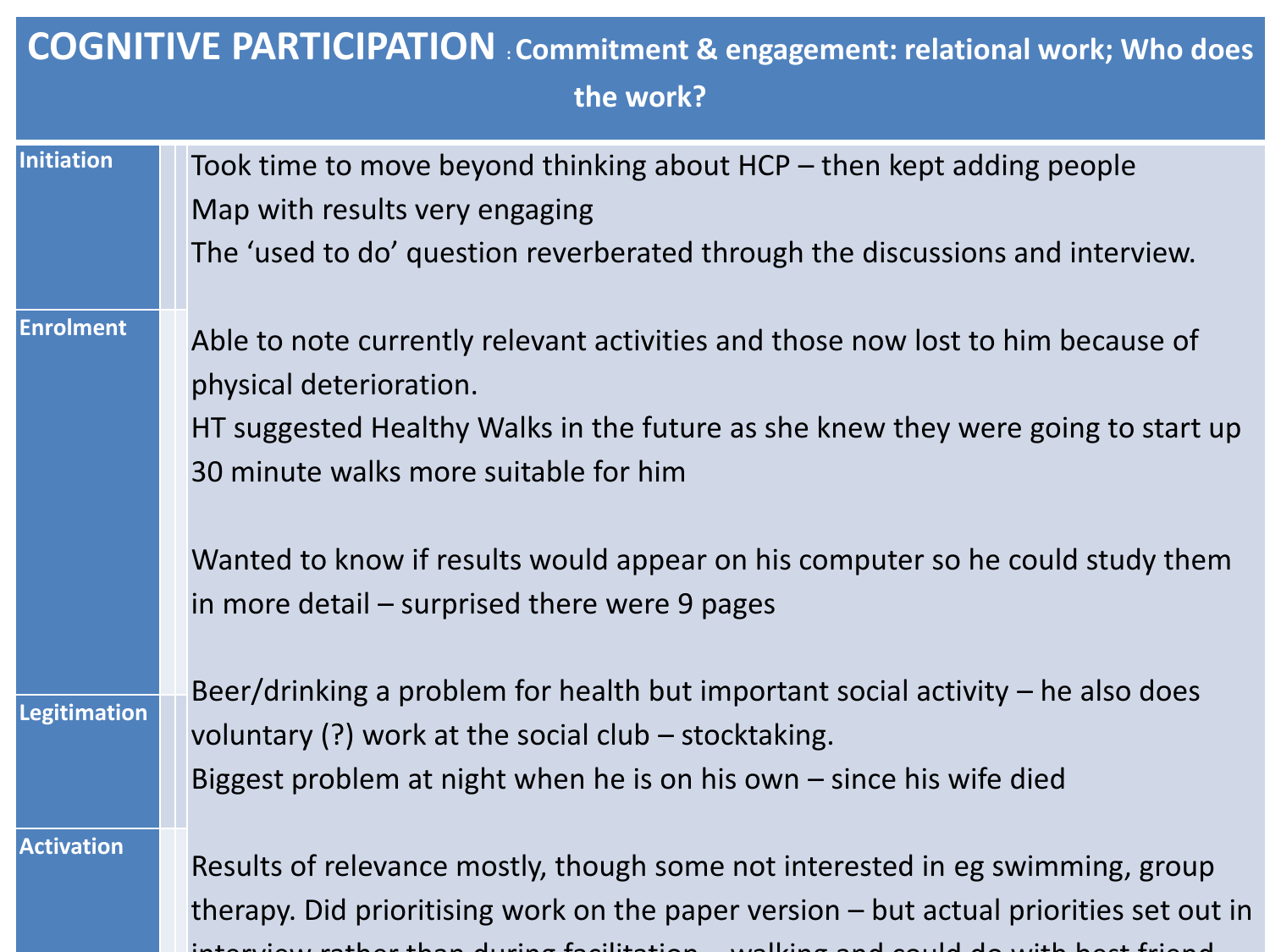| <b>COGNITIVE PARTICIPATION</b> Commitment & engagement: relational work; Who does<br>the work? |                                                                                        |  |  |
|------------------------------------------------------------------------------------------------|----------------------------------------------------------------------------------------|--|--|
| Initiation                                                                                     | Took time to move beyond thinking about $HCP -$ then kept adding people                |  |  |
|                                                                                                | Map with results very engaging                                                         |  |  |
|                                                                                                | The 'used to do' question reverberated through the discussions and interview.          |  |  |
| <b>Enrolment</b>                                                                               | Able to note currently relevant activities and those now lost to him because of        |  |  |
|                                                                                                | physical deterioration.                                                                |  |  |
|                                                                                                | HT suggested Healthy Walks in the future as she knew they were going to start up       |  |  |
|                                                                                                | 30 minute walks more suitable for him                                                  |  |  |
|                                                                                                | Wanted to know if results would appear on his computer so he could study them          |  |  |
|                                                                                                | in more detail $-$ surprised there were 9 pages                                        |  |  |
| <b>Legitimation</b>                                                                            | Beer/drinking a problem for health but important social activity $-$ he also does      |  |  |
|                                                                                                | voluntary $(?)$ work at the social club – stocktaking.                                 |  |  |
|                                                                                                | Biggest problem at night when he is on his own $-$ since his wife died                 |  |  |
| <b>Activation</b>                                                                              | Results of relevance mostly, though some not interested in eg swimming, group          |  |  |
|                                                                                                | therapy. Did prioritising work on the paper version – but actual priorities set out in |  |  |
|                                                                                                |                                                                                        |  |  |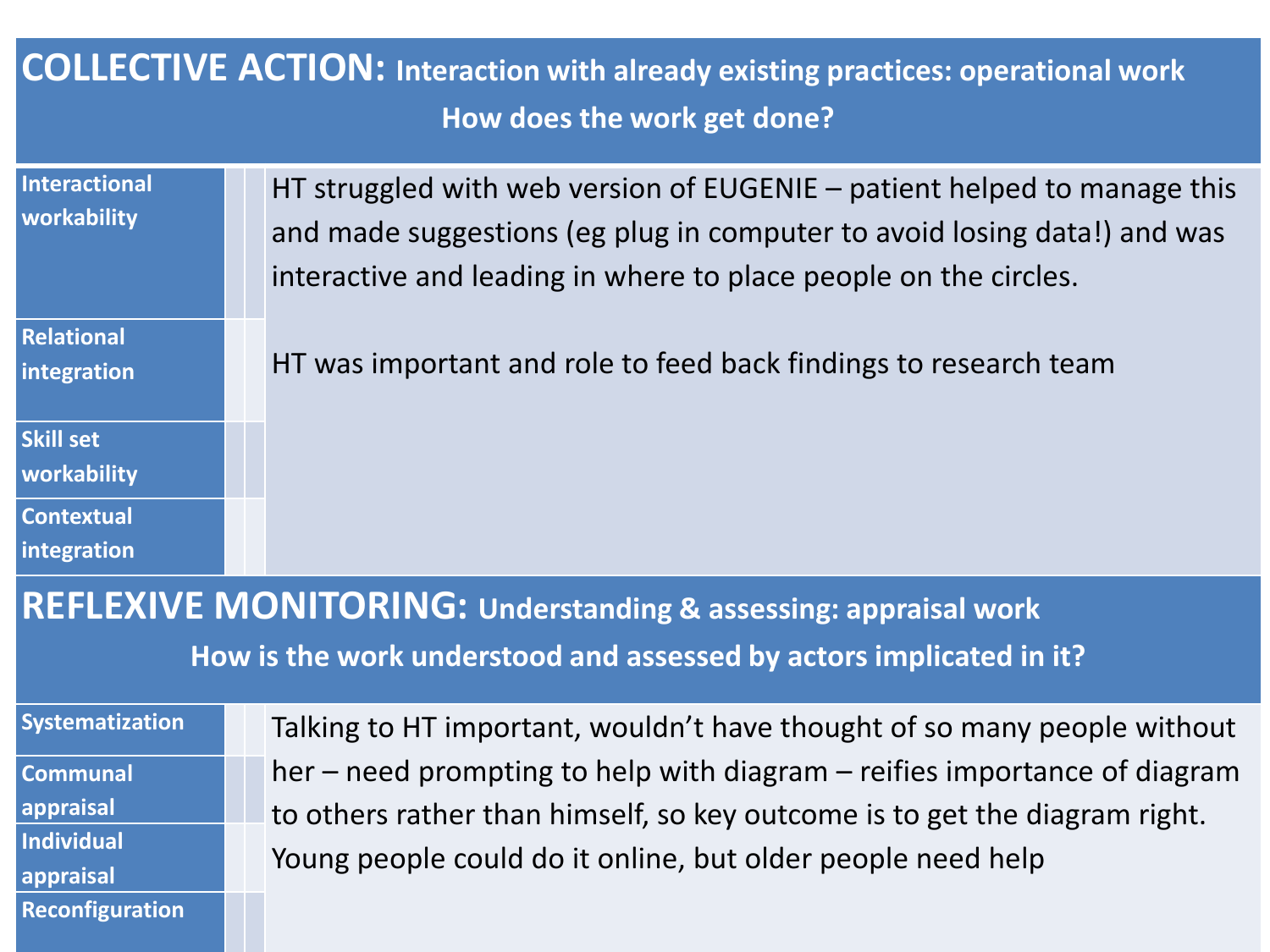#### **COLLECTIVE ACTION: Interaction with already existing practices: operational work How does the work get done?**

| <b>Interactional</b><br>workability                                        | HT struggled with web version of EUGENIE - patient helped to manage this<br>and made suggestions (eg plug in computer to avoid losing data!) and was<br>interactive and leading in where to place people on the circles. |  |
|----------------------------------------------------------------------------|--------------------------------------------------------------------------------------------------------------------------------------------------------------------------------------------------------------------------|--|
| <b>Relational</b><br>integration                                           | HT was important and role to feed back findings to research team                                                                                                                                                         |  |
| <b>Skill set</b><br>workability                                            |                                                                                                                                                                                                                          |  |
| <b>Contextual</b><br>integration                                           |                                                                                                                                                                                                                          |  |
| <b>REFLEXIVE MONITORING: Understanding &amp; assessing: appraisal work</b> |                                                                                                                                                                                                                          |  |
| How is the work understood and assessed by actors implicated in it?        |                                                                                                                                                                                                                          |  |
| Systematization                                                            | Talking to HT important, wouldn't have thought of so many people without                                                                                                                                                 |  |
| <b>Communal</b><br>appraisal                                               | her – need prompting to help with diagram – reifies importance of diagram<br>to others rather than himself, so key outcome is to get the diagram right.                                                                  |  |

Young people could do it online, but older people need help

**Individual** 

**appraisal**

**Reconfiguration**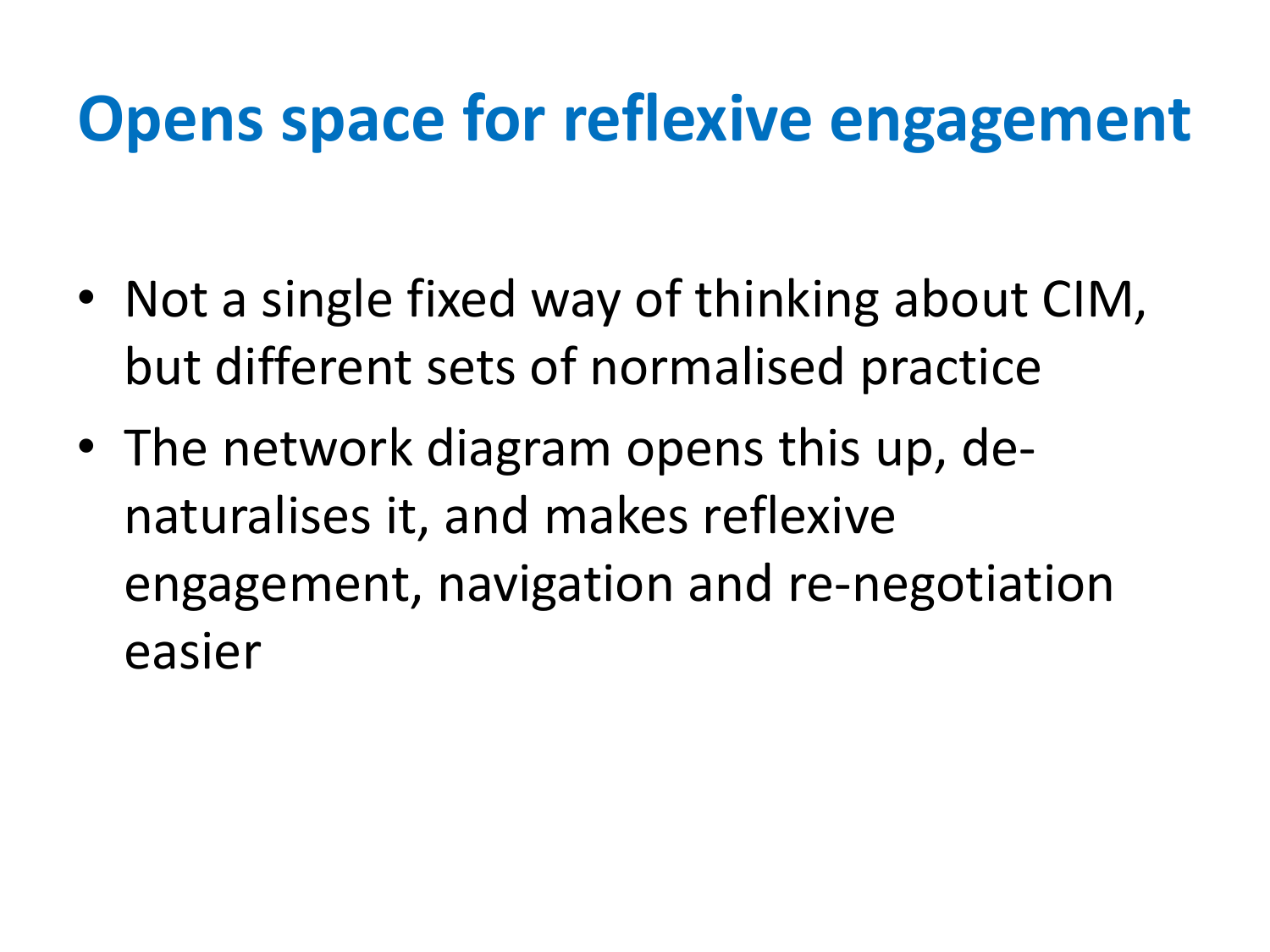# **Opens space for reflexive engagement**

- Not a single fixed way of thinking about CIM, but different sets of normalised practice
- The network diagram opens this up, denaturalises it, and makes reflexive engagement, navigation and re-negotiation easier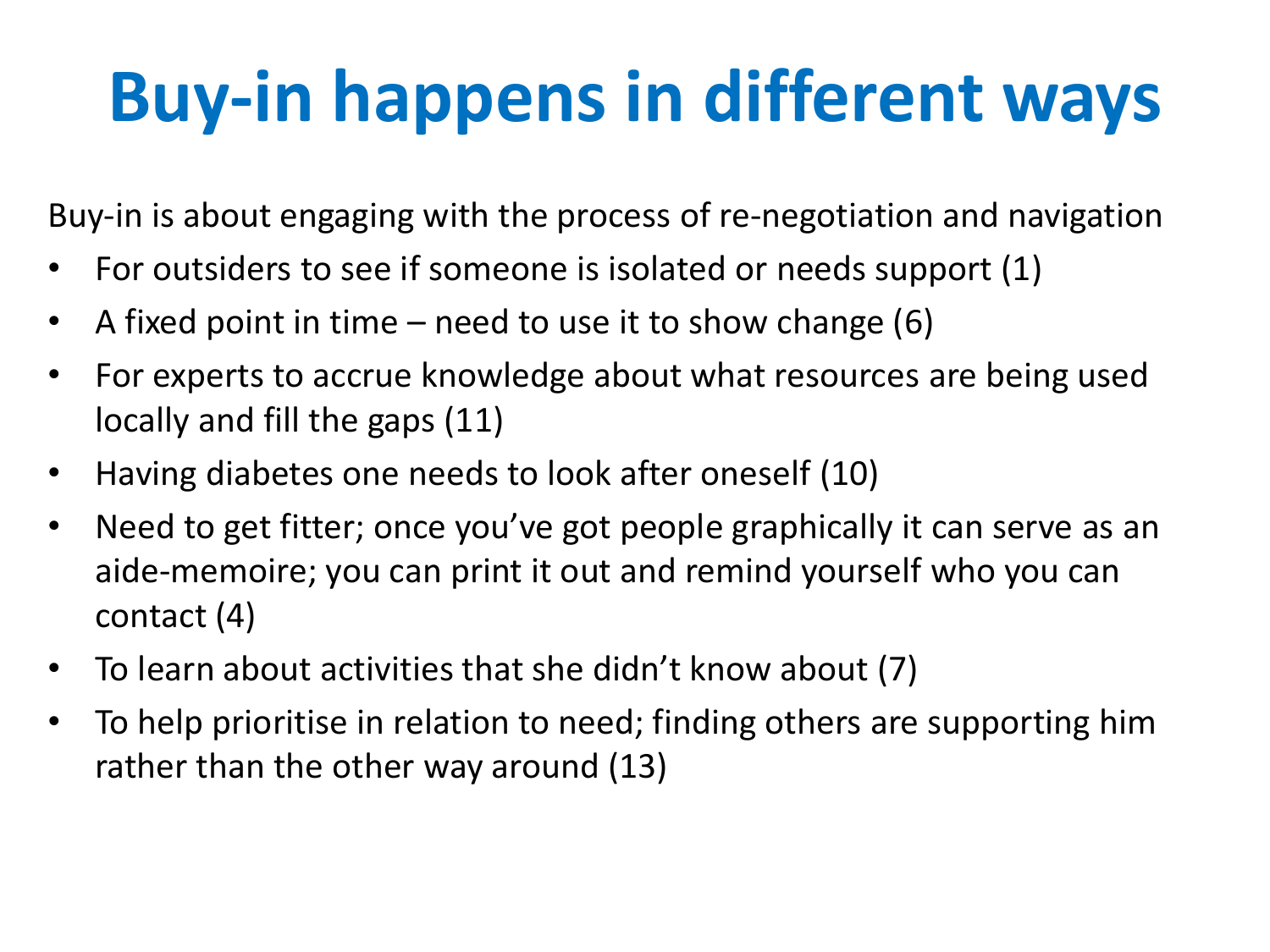# **Buy-in happens in different ways**

Buy-in is about engaging with the process of re-negotiation and navigation

- For outsiders to see if someone is isolated or needs support (1)
- A fixed point in time need to use it to show change  $(6)$
- For experts to accrue knowledge about what resources are being used locally and fill the gaps (11)
- Having diabetes one needs to look after oneself (10)
- Need to get fitter; once you've got people graphically it can serve as an aide-memoire; you can print it out and remind yourself who you can contact (4)
- To learn about activities that she didn't know about (7)
- To help prioritise in relation to need; finding others are supporting him rather than the other way around (13)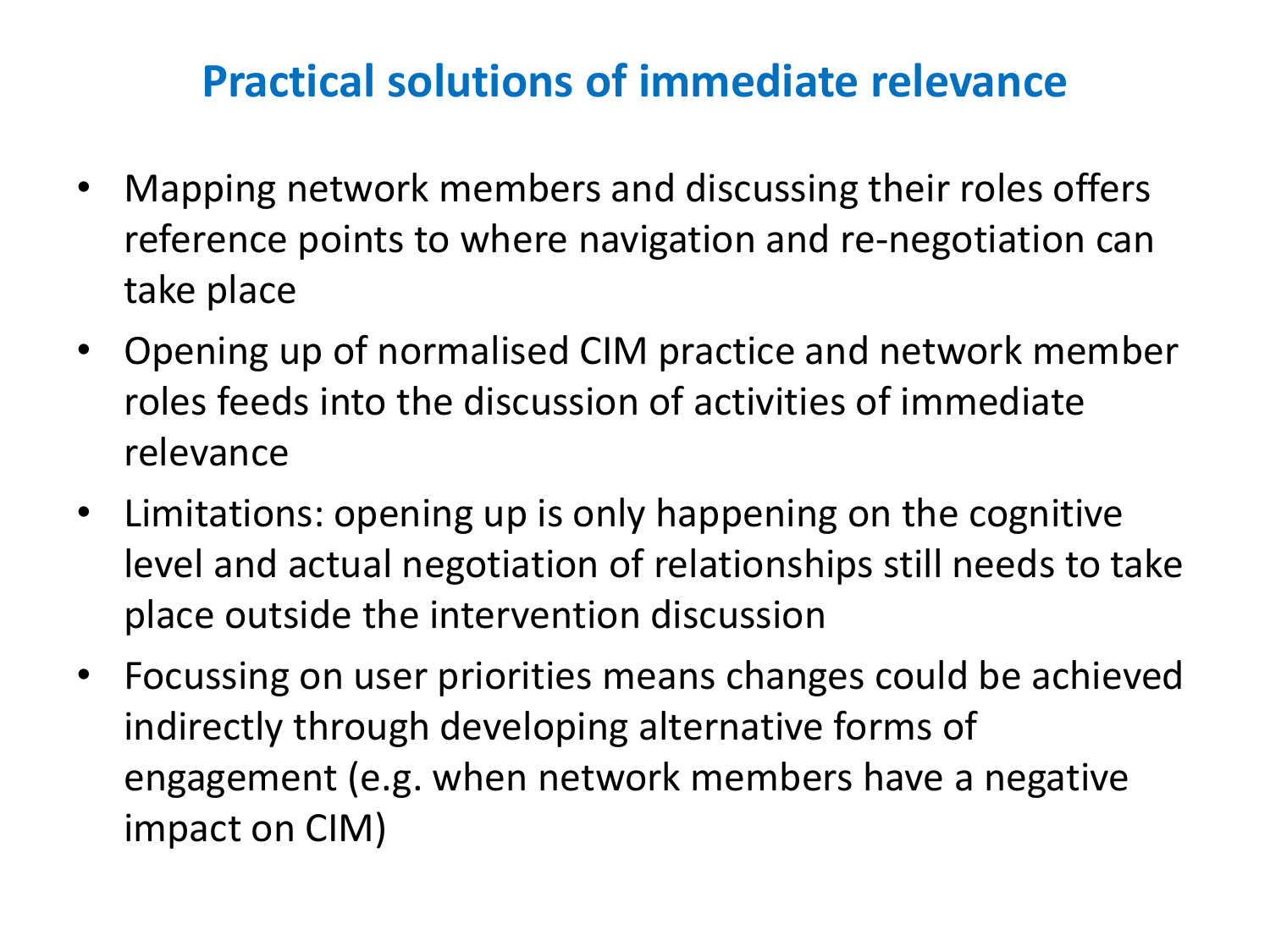#### **Practical solutions of immediate relevance**

- Mapping network members and discussing their roles offers reference points to where navigation and re-negotiation can take place
- Opening up of normalised CIM practice and network member roles feeds into the discussion of activities of immediate relevance
- Limitations: opening up is only happening on the cognitive level and actual negotiation of relationships still needs to take place outside the intervention discussion
- Focussing on user priorities means changes could be achieved indirectly through developing alternative forms of engagement (e.g. when network members have a negative impact on CIM)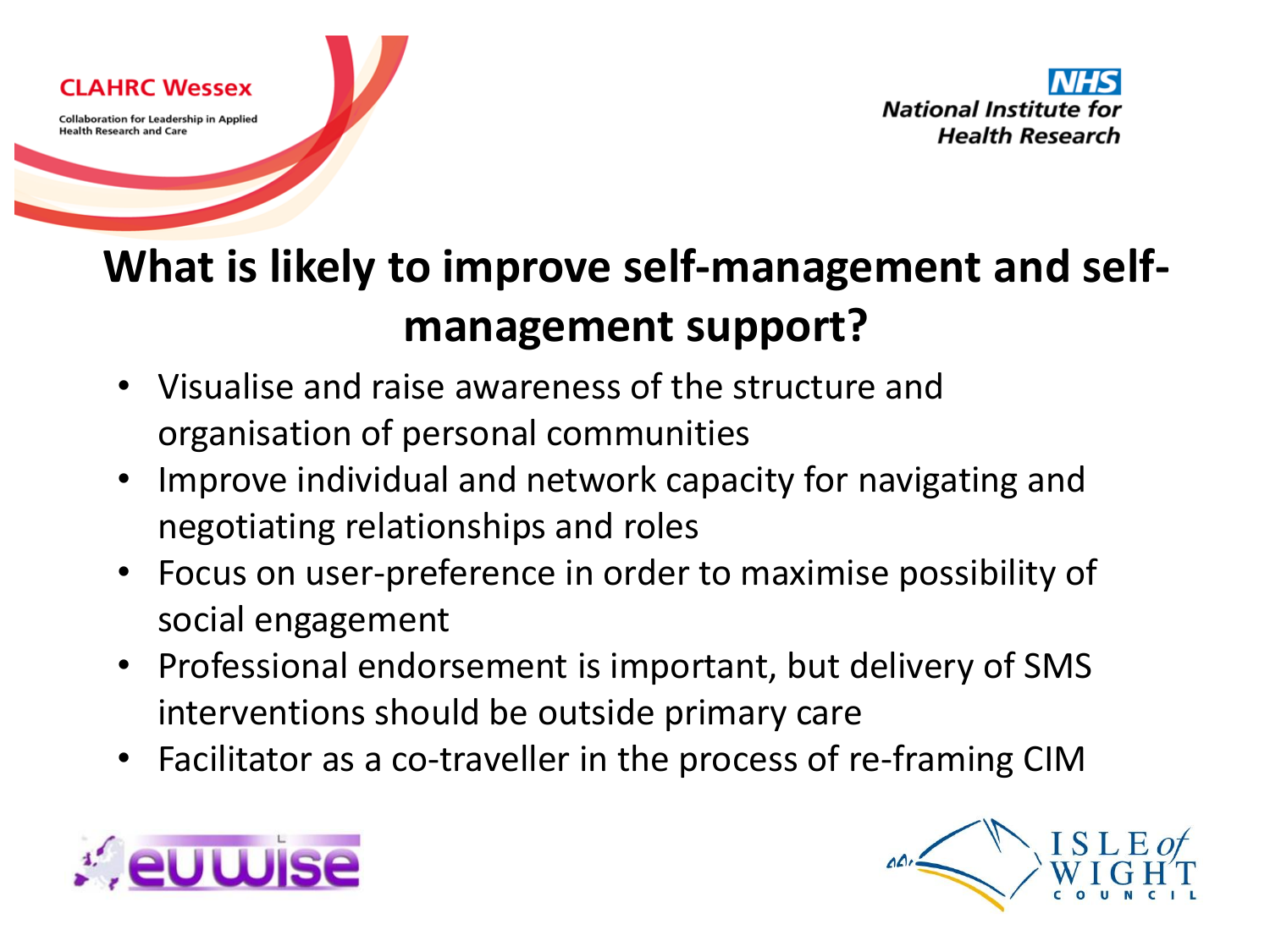

### **What is likely to improve self-management and selfmanagement support?**

- Visualise and raise awareness of the structure and organisation of personal communities
- Improve individual and network capacity for navigating and negotiating relationships and roles
- Focus on user-preference in order to maximise possibility of social engagement
- Professional endorsement is important, but delivery of SMS interventions should be outside primary care
- Facilitator as a co-traveller in the process of re-framing CIM